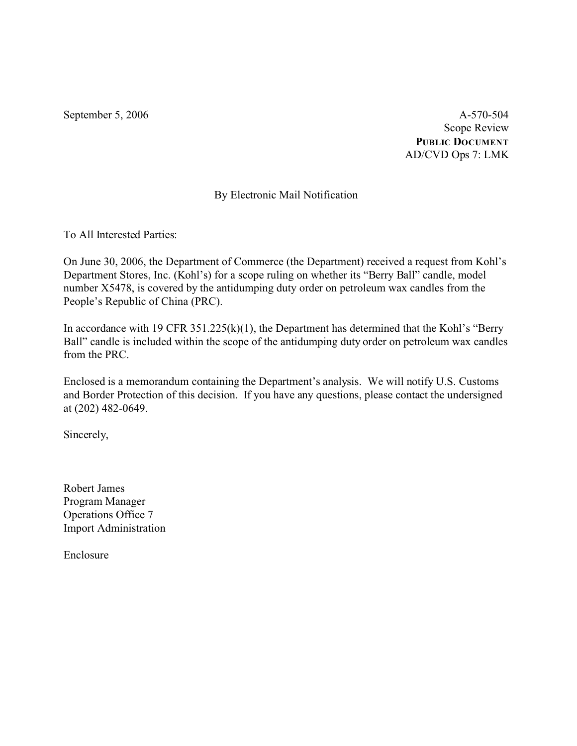September 5, 2006 A-570-504 Scope Review **PUBLIC DOCUMENT** AD/CVD Ops 7: LMK

# By Electronic Mail Notification

To All Interested Parties:

On June 30, 2006, the Department of Commerce (the Department) received a request from Kohl's Department Stores, Inc. (Kohl's) for a scope ruling on whether its "Berry Ball" candle, model number X5478, is covered by the antidumping duty order on petroleum wax candles from the People's Republic of China (PRC).

In accordance with 19 CFR 351.225(k)(1), the Department has determined that the Kohl's "Berry Ball" candle is included within the scope of the antidumping duty order on petroleum wax candles from the PRC.

Enclosed is a memorandum containing the Department's analysis. We will notify U.S. Customs and Border Protection of this decision. If you have any questions, please contact the undersigned at (202) 482-0649.

Sincerely,

Robert James Program Manager Operations Office 7 Import Administration

Enclosure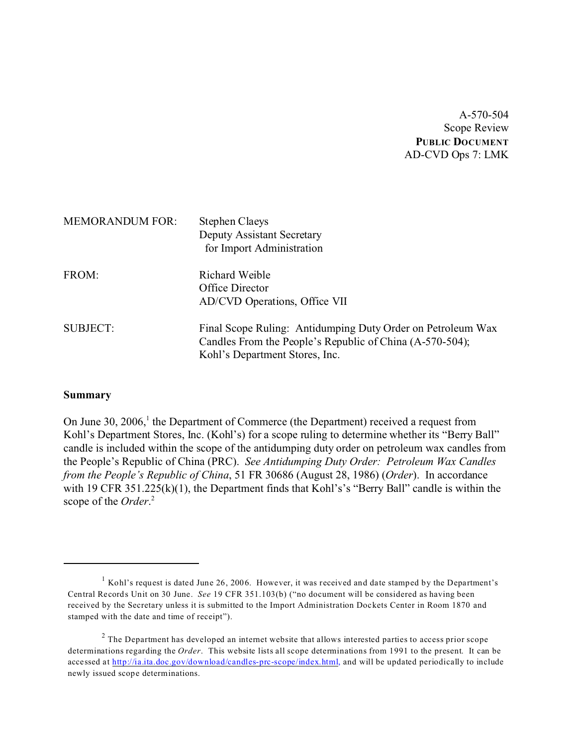A-570-504 Scope Review **PUBLIC DOCUMENT** AD-CVD Ops 7: LMK

| <b>MEMORANDUM FOR:</b> | <b>Stephen Claeys</b><br><b>Deputy Assistant Secretary</b><br>for Import Administration                                                                   |
|------------------------|-----------------------------------------------------------------------------------------------------------------------------------------------------------|
| FROM:                  | Richard Weible<br>Office Director<br>AD/CVD Operations, Office VII                                                                                        |
| <b>SUBJECT:</b>        | Final Scope Ruling: Antidumping Duty Order on Petroleum Wax<br>Candles From the People's Republic of China (A-570-504);<br>Kohl's Department Stores, Inc. |

#### **Summary**

On June 30, 2006,<sup>1</sup> the Department of Commerce (the Department) received a request from Kohl's Department Stores, Inc. (Kohl's) for a scope ruling to determine whether its "Berry Ball" candle is included within the scope of the antidumping duty order on petroleum wax candles from the People's Republic of China (PRC). *See Antidumping Duty Order: Petroleum Wax Candles from the People's Republic of China*, 51 FR 30686 (August 28, 1986) (*Order*). In accordance with 19 CFR 351.225(k)(1), the Department finds that Kohl's's "Berry Ball" candle is within the scope of the *Order*. 2

<sup>&</sup>lt;sup>1</sup> Kohl's request is dated June 26, 2006. However, it was received and date stamped by the Department's Central Records Unit on 30 June. *See* 19 CFR 351.103(b) ("no document will be considered as having been received by the Secretary unless it is submitted to the Import Administration Dockets Center in Room 1870 and stamped with the date and time of receipt").

 $2$  The Department has developed an internet website that allows interested parties to access prior scope determinations regarding the *Order*. This website lists all scope determinations from 1991 to the present. It can be accessed at [http://ia.ita.doc.gov/download/candles-prc-scope/index.html,](http://ia.ita.doc.gov/download/candles-prc-scope/,) and will be updated periodically to include newly issued scope determinations.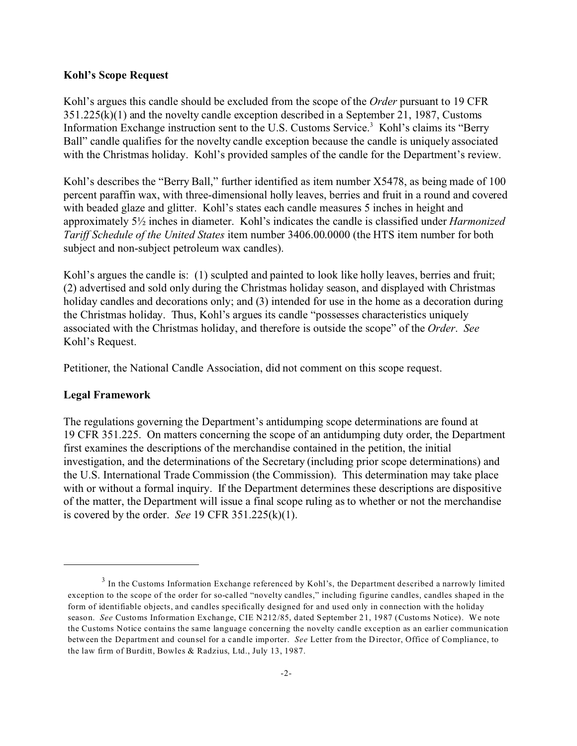#### **Kohl's Scope Request**

Kohl's argues this candle should be excluded from the scope of the *Order* pursuant to 19 CFR 351.225(k)(1) and the novelty candle exception described in a September 21, 1987, Customs Information Exchange instruction sent to the U.S. Customs Service.<sup>3</sup> Kohl's claims its "Berry Ball" candle qualifies for the novelty candle exception because the candle is uniquely associated with the Christmas holiday. Kohl's provided samples of the candle for the Department's review.

Kohl's describes the "Berry Ball," further identified as item number X5478, as being made of 100 percent paraffin wax, with three-dimensional holly leaves, berries and fruit in a round and covered with beaded glaze and glitter. Kohl's states each candle measures 5 inches in height and approximately 5½ inches in diameter. Kohl's indicates the candle is classified under *Harmonized Tariff Schedule of the United States* item number 3406.00.0000 (the HTS item number for both subject and non-subject petroleum wax candles).

Kohl's argues the candle is: (1) sculpted and painted to look like holly leaves, berries and fruit; (2) advertised and sold only during the Christmas holiday season, and displayed with Christmas holiday candles and decorations only; and (3) intended for use in the home as a decoration during the Christmas holiday. Thus, Kohl's argues its candle "possesses characteristics uniquely associated with the Christmas holiday, and therefore is outside the scope" of the *Order*. *See* Kohl's Request.

Petitioner, the National Candle Association, did not comment on this scope request.

### **Legal Framework**

The regulations governing the Department's antidumping scope determinations are found at 19 CFR 351.225. On matters concerning the scope of an antidumping duty order, the Department first examines the descriptions of the merchandise contained in the petition, the initial investigation, and the determinations of the Secretary (including prior scope determinations) and the U.S. International Trade Commission (the Commission). This determination may take place with or without a formal inquiry. If the Department determines these descriptions are dispositive of the matter, the Department will issue a final scope ruling as to whether or not the merchandise is covered by the order. *See* 19 CFR 351.225(k)(1).

 $3$  In the Customs Information Exchange referenced by Kohl's, the Department described a narrowly limited exception to the scope of the order for so-called "novelty candles," including figurine candles, candles shaped in the form of identifiable objects, and candles specifically designed for and used only in connection with the holiday season. *See* Customs Information Exchange, CIE N212/85, dated September 21, 1987 (Customs Notice). We note the Customs Notice contains the same language concerning the novelty candle exception as an earlier communication between the Department and counsel for a candle importer. *See* Letter from the Director, Office of Compliance, to the law firm of Burditt, Bowles & Radzius, Ltd., July 13, 1987.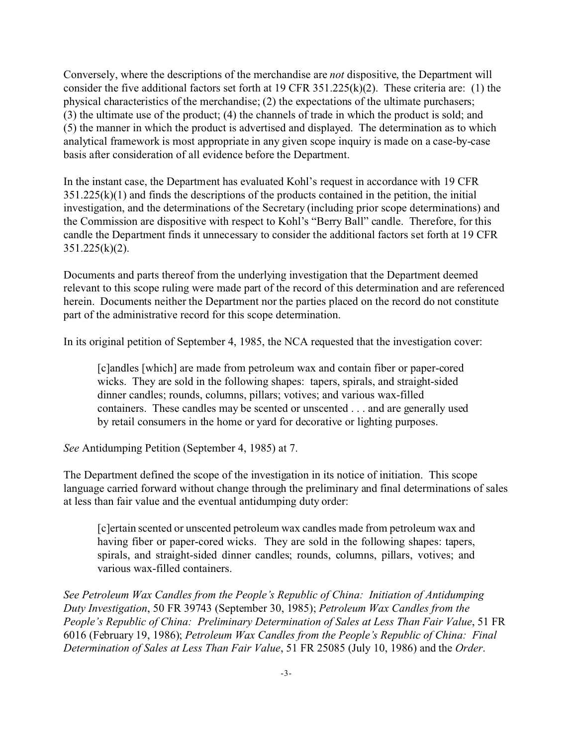Conversely, where the descriptions of the merchandise are *not* dispositive, the Department will consider the five additional factors set forth at 19 CFR 351.225(k)(2). These criteria are: (1) the physical characteristics of the merchandise; (2) the expectations of the ultimate purchasers; (3) the ultimate use of the product; (4) the channels of trade in which the product is sold; and (5) the manner in which the product is advertised and displayed. The determination as to which analytical framework is most appropriate in any given scope inquiry is made on a case-by-case basis after consideration of all evidence before the Department.

In the instant case, the Department has evaluated Kohl's request in accordance with 19 CFR  $351.225(k)(1)$  and finds the descriptions of the products contained in the petition, the initial investigation, and the determinations of the Secretary (including prior scope determinations) and the Commission are dispositive with respect to Kohl's "Berry Ball" candle. Therefore, for this candle the Department finds it unnecessary to consider the additional factors set forth at 19 CFR  $351.225(k)(2)$ .

Documents and parts thereof from the underlying investigation that the Department deemed relevant to this scope ruling were made part of the record of this determination and are referenced herein. Documents neither the Department nor the parties placed on the record do not constitute part of the administrative record for this scope determination.

In its original petition of September 4, 1985, the NCA requested that the investigation cover:

[c]andles [which] are made from petroleum wax and contain fiber or paper-cored wicks. They are sold in the following shapes: tapers, spirals, and straight-sided dinner candles; rounds, columns, pillars; votives; and various wax-filled containers. These candles may be scented or unscented . . . and are generally used by retail consumers in the home or yard for decorative or lighting purposes.

*See* Antidumping Petition (September 4, 1985) at 7.

The Department defined the scope of the investigation in its notice of initiation. This scope language carried forward without change through the preliminary and final determinations of sales at less than fair value and the eventual antidumping duty order:

[c]ertain scented or unscented petroleum wax candles made from petroleum wax and having fiber or paper-cored wicks. They are sold in the following shapes: tapers, spirals, and straight-sided dinner candles; rounds, columns, pillars, votives; and various wax-filled containers.

*See Petroleum Wax Candles from the People's Republic of China: Initiation of Antidumping Duty Investigation*, 50 FR 39743 (September 30, 1985); *Petroleum Wax Candles from the People's Republic of China: Preliminary Determination of Sales at Less Than Fair Value*, 51 FR 6016 (February 19, 1986); *Petroleum Wax Candles from the People's Republic of China: Final Determination of Sales at Less Than Fair Value*, 51 FR 25085 (July 10, 1986) and the *Order*.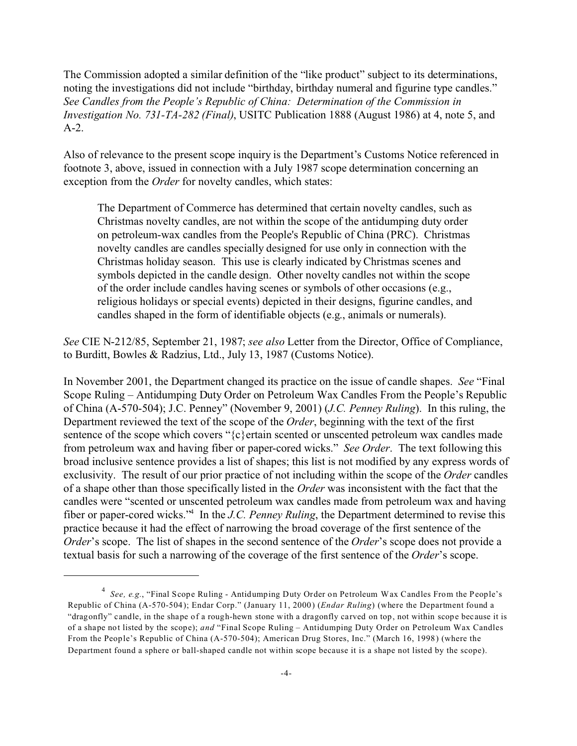The Commission adopted a similar definition of the "like product" subject to its determinations, noting the investigations did not include "birthday, birthday numeral and figurine type candles." *See Candles from the People's Republic of China: Determination of the Commission in Investigation No. 731-TA-282 (Final)*, USITC Publication 1888 (August 1986) at 4, note 5, and A-2.

Also of relevance to the present scope inquiry is the Department's Customs Notice referenced in footnote 3, above, issued in connection with a July 1987 scope determination concerning an exception from the *Order* for novelty candles, which states:

The Department of Commerce has determined that certain novelty candles, such as Christmas novelty candles, are not within the scope of the antidumping duty order on petroleum-wax candles from the People's Republic of China (PRC). Christmas novelty candles are candles specially designed for use only in connection with the Christmas holiday season. This use is clearly indicated by Christmas scenes and symbols depicted in the candle design. Other novelty candles not within the scope of the order include candles having scenes or symbols of other occasions (e.g., religious holidays or special events) depicted in their designs, figurine candles, and candles shaped in the form of identifiable objects (e.g., animals or numerals).

*See* CIE N-212/85, September 21, 1987; *see also* Letter from the Director, Office of Compliance, to Burditt, Bowles & Radzius, Ltd., July 13, 1987 (Customs Notice).

In November 2001, the Department changed its practice on the issue of candle shapes. *See* "Final Scope Ruling – Antidumping Duty Order on Petroleum Wax Candles From the People's Republic of China (A-570-504); J.C. Penney" (November 9, 2001) (*J.C. Penney Ruling*). In this ruling, the Department reviewed the text of the scope of the *Order*, beginning with the text of the first sentence of the scope which covers "{c}ertain scented or unscented petroleum wax candles made from petroleum wax and having fiber or paper-cored wicks." *See Order*. The text following this broad inclusive sentence provides a list of shapes; this list is not modified by any express words of exclusivity. The result of our prior practice of not including within the scope of the *Order* candles of a shape other than those specifically listed in the *Order* was inconsistent with the fact that the candles were "scented or unscented petroleum wax candles made from petroleum wax and having fiber or paper-cored wicks."<sup>4</sup> In the *J.C. Penney Ruling*, the Department determined to revise this practice because it had the effect of narrowing the broad coverage of the first sentence of the *Order*'s scope. The list of shapes in the second sentence of the *Order*'s scope does not provide a textual basis for such a narrowing of the coverage of the first sentence of the *Order*'s scope.

<sup>4</sup> *See, e.g.*, "Final Scope Ruling - Antidumping Duty Order on Petroleum Wax Candles From the People's Republic of China (A-570-504); Endar Corp." (January 11, 2000) (*Endar Ruling*) (where the Department found a "dragonfly" candle, in the shape of a rough-hewn stone with a dragonfly carved on top, not within scope because it is of a shape not listed by the scope); *and* "Final Scope Ruling – Antidumping Duty Order on Petroleum Wax Candles From the People's Republic of China (A-570-504); American Drug Stores, Inc." (March 16, 1998) (where the Department found a sphere or ball-shaped candle not within scope because it is a shape not listed by the scope).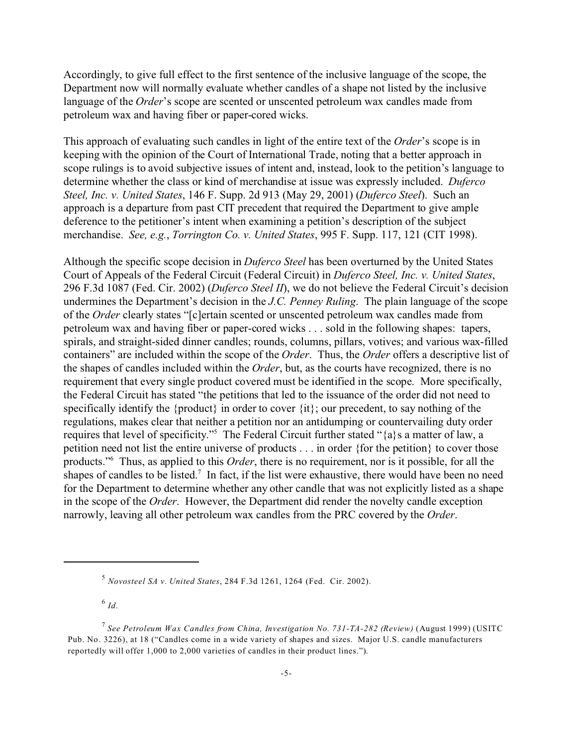Accordingly, to give full effect to the first sentence of the inclusive language of the scope, the Department now will normally evaluate whether candles of a shape not listed by the inclusive language of the *Order*'s scope are scented or unscented petroleum wax candles made from petroleum wax and having fiber or paper-cored wicks.

This approach of evaluating such candles in light of the entire text of the *Order*'s scope is in keeping with the opinion of the Court of International Trade, noting that a better approach in scope rulings is to avoid subjective issues of intent and, instead, look to the petition's language to determine whether the class or kind of merchandise at issue was expressly included. *Duferco Steel, Inc. v. United States*, 146 F. Supp. 2d 913 (May 29, 2001) (*Duferco Steel*). Such an approach is a departure from past CIT precedent that required the Department to give ample deference to the petitioner's intent when examining a petition's description of the subject merchandise. *See, e.g.*, *Torrington Co. v. United States*, 995 F. Supp. 117, 121 (CIT 1998).

Although the specific scope decision in *Duferco Steel* has been overturned by the United States Court of Appeals of the Federal Circuit (Federal Circuit) in *Duferco Steel, Inc. v. United States*, 296 F.3d 1087 (Fed. Cir. 2002) (*Duferco Steel II*), we do not believe the Federal Circuit's decision undermines the Department's decision in the *J.C. Penney Ruling*. The plain language of the scope of the *Order* clearly states "[c]ertain scented or unscented petroleum wax candles made from petroleum wax and having fiber or paper-cored wicks . . . sold in the following shapes: tapers, spirals, and straight-sided dinner candles; rounds, columns, pillars, votives; and various wax-filled containers" are included within the scope of the *Order*. Thus, the *Order* offers a descriptive list of the shapes of candles included within the *Order*, but, as the courts have recognized, there is no requirement that every single product covered must be identified in the scope. More specifically, the Federal Circuit has stated "the petitions that led to the issuance of the order did not need to specifically identify the {product} in order to cover {it}; our precedent, to say nothing of the regulations, makes clear that neither a petition nor an antidumping or countervailing duty order requires that level of specificity."<sup>5</sup> The Federal Circuit further stated "{a}s a matter of law, a petition need not list the entire universe of products . . . in order {for the petition} to cover those products."<sup>6</sup> Thus, as applied to this *Order*, there is no requirement, nor is it possible, for all the shapes of candles to be listed.<sup>7</sup> In fact, if the list were exhaustive, there would have been no need for the Department to determine whether any other candle that was not explicitly listed as a shape in the scope of the *Order*. However, the Department did render the novelty candle exception narrowly, leaving all other petroleum wax candles from the PRC covered by the *Order*.

5 *Novosteel SA v. United States*, 284 F.3d 1261, 1264 (Fed. Cir. 2002).

6 *Id*.

<sup>7</sup> *See Petroleum Wax Candles from China, Investigation No. 731-TA-282 (Review)* (August 1999) (USITC Pub. No. 3226), at 18 ("Candles come in a wide variety of shapes and sizes. Major U.S. candle manufacturers reportedly will offer 1,000 to 2,000 varieties of candles in their product lines.").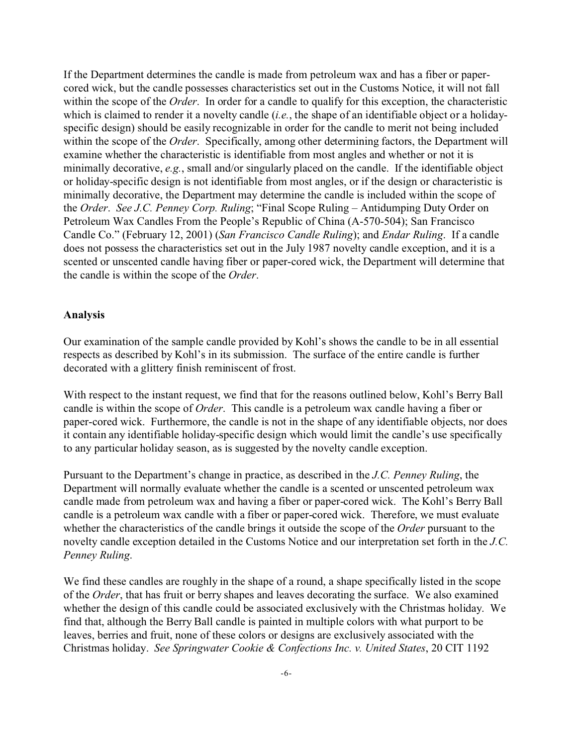If the Department determines the candle is made from petroleum wax and has a fiber or papercored wick, but the candle possesses characteristics set out in the Customs Notice, it will not fall within the scope of the *Order*. In order for a candle to qualify for this exception, the characteristic which is claimed to render it a novelty candle (*i.e.*, the shape of an identifiable object or a holidayspecific design) should be easily recognizable in order for the candle to merit not being included within the scope of the *Order*. Specifically, among other determining factors, the Department will examine whether the characteristic is identifiable from most angles and whether or not it is minimally decorative, *e.g.*, small and/or singularly placed on the candle. If the identifiable object or holiday-specific design is not identifiable from most angles, or if the design or characteristic is minimally decorative, the Department may determine the candle is included within the scope of the *Order*. *See J.C. Penney Corp. Ruling*; "Final Scope Ruling – Antidumping Duty Order on Petroleum Wax Candles From the People's Republic of China (A-570-504); San Francisco Candle Co." (February 12, 2001) (*San Francisco Candle Ruling*); and *Endar Ruling*. If a candle does not possess the characteristics set out in the July 1987 novelty candle exception, and it is a scented or unscented candle having fiber or paper-cored wick, the Department will determine that the candle is within the scope of the *Order*.

#### **Analysis**

Our examination of the sample candle provided by Kohl's shows the candle to be in all essential respects as described by Kohl's in its submission. The surface of the entire candle is further decorated with a glittery finish reminiscent of frost.

With respect to the instant request, we find that for the reasons outlined below, Kohl's Berry Ball candle is within the scope of *Order*. This candle is a petroleum wax candle having a fiber or paper-cored wick. Furthermore, the candle is not in the shape of any identifiable objects, nor does it contain any identifiable holiday-specific design which would limit the candle's use specifically to any particular holiday season, as is suggested by the novelty candle exception.

Pursuant to the Department's change in practice, as described in the *J.C. Penney Ruling*, the Department will normally evaluate whether the candle is a scented or unscented petroleum wax candle made from petroleum wax and having a fiber or paper-cored wick. The Kohl's Berry Ball candle is a petroleum wax candle with a fiber or paper-cored wick. Therefore, we must evaluate whether the characteristics of the candle brings it outside the scope of the *Order* pursuant to the novelty candle exception detailed in the Customs Notice and our interpretation set forth in the *J.C. Penney Ruling*.

We find these candles are roughly in the shape of a round, a shape specifically listed in the scope of the *Order*, that has fruit or berry shapes and leaves decorating the surface. We also examined whether the design of this candle could be associated exclusively with the Christmas holiday. We find that, although the Berry Ball candle is painted in multiple colors with what purport to be leaves, berries and fruit, none of these colors or designs are exclusively associated with the Christmas holiday. *See Springwater Cookie & Confections Inc. v. United States*, 20 CIT 1192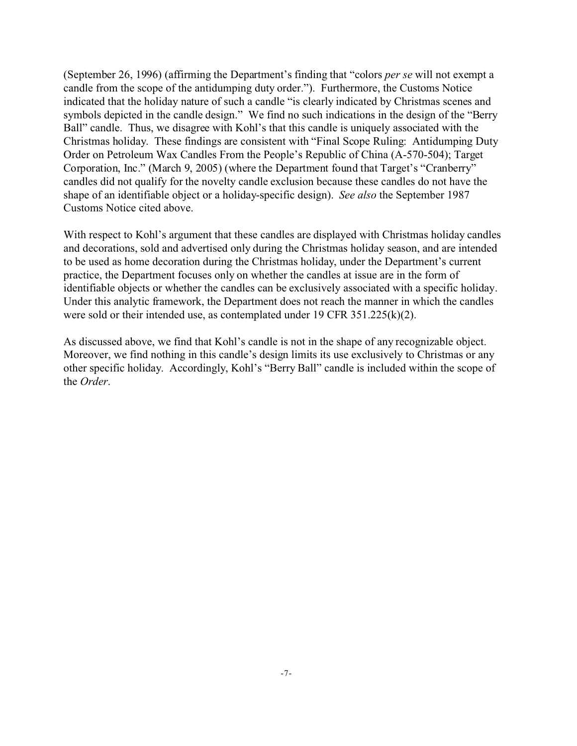(September 26, 1996) (affirming the Department's finding that "colors *per se* will not exempt a candle from the scope of the antidumping duty order."). Furthermore, the Customs Notice indicated that the holiday nature of such a candle "is clearly indicated by Christmas scenes and symbols depicted in the candle design." We find no such indications in the design of the "Berry Ball" candle. Thus, we disagree with Kohl's that this candle is uniquely associated with the Christmas holiday. These findings are consistent with "Final Scope Ruling: Antidumping Duty Order on Petroleum Wax Candles From the People's Republic of China (A-570-504); Target Corporation, Inc." (March 9, 2005) (where the Department found that Target's "Cranberry" candles did not qualify for the novelty candle exclusion because these candles do not have the shape of an identifiable object or a holiday-specific design). *See also* the September 1987 Customs Notice cited above.

With respect to Kohl's argument that these candles are displayed with Christmas holiday candles and decorations, sold and advertised only during the Christmas holiday season, and are intended to be used as home decoration during the Christmas holiday, under the Department's current practice, the Department focuses only on whether the candles at issue are in the form of identifiable objects or whether the candles can be exclusively associated with a specific holiday. Under this analytic framework, the Department does not reach the manner in which the candles were sold or their intended use, as contemplated under 19 CFR 351.225(k)(2).

As discussed above, we find that Kohl's candle is not in the shape of any recognizable object. Moreover, we find nothing in this candle's design limits its use exclusively to Christmas or any other specific holiday. Accordingly, Kohl's "Berry Ball" candle is included within the scope of the *Order*.